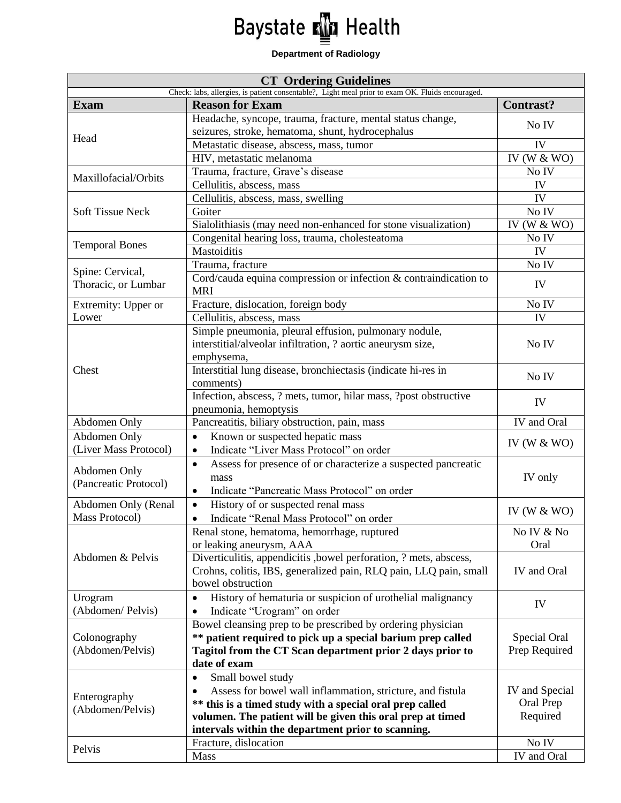## Baystate **M** Health

## **Department of Radiology**

| <b>CT</b> Ordering Guidelines                                                                    |                                                                                        |                  |
|--------------------------------------------------------------------------------------------------|----------------------------------------------------------------------------------------|------------------|
| Check: labs, allergies, is patient consentable?, Light meal prior to exam OK. Fluids encouraged. |                                                                                        |                  |
| <b>Exam</b>                                                                                      | <b>Reason for Exam</b>                                                                 | <b>Contrast?</b> |
| Head                                                                                             | Headache, syncope, trauma, fracture, mental status change,                             | No IV            |
|                                                                                                  | seizures, stroke, hematoma, shunt, hydrocephalus                                       |                  |
|                                                                                                  | Metastatic disease, abscess, mass, tumor                                               | IV               |
|                                                                                                  | HIV, metastatic melanoma                                                               | IV (W $&$ WO)    |
| Maxillofacial/Orbits                                                                             | Trauma, fracture, Grave's disease<br>Cellulitis, abscess, mass                         | No IV<br>IV      |
| <b>Soft Tissue Neck</b>                                                                          | Cellulitis, abscess, mass, swelling                                                    | IV               |
|                                                                                                  | Goiter                                                                                 | No IV            |
|                                                                                                  | Sialolithiasis (may need non-enhanced for stone visualization)                         | IV (W $&$ WO)    |
|                                                                                                  | Congenital hearing loss, trauma, cholesteatoma                                         | No IV            |
| <b>Temporal Bones</b>                                                                            | Mastoiditis                                                                            | IV               |
|                                                                                                  | Trauma, fracture                                                                       | No IV            |
| Spine: Cervical,                                                                                 | Cord/cauda equina compression or infection & contraindication to                       |                  |
| Thoracic, or Lumbar                                                                              | <b>MRI</b>                                                                             | IV               |
| Extremity: Upper or                                                                              | Fracture, dislocation, foreign body                                                    | No IV            |
| Lower                                                                                            | Cellulitis, abscess, mass                                                              | IV               |
|                                                                                                  | Simple pneumonia, pleural effusion, pulmonary nodule,                                  |                  |
|                                                                                                  | interstitial/alveolar infiltration, ? aortic aneurysm size,                            | No IV            |
|                                                                                                  | emphysema,                                                                             |                  |
| Chest                                                                                            | Interstitial lung disease, bronchiectasis (indicate hi-res in                          | No IV            |
|                                                                                                  | comments)                                                                              |                  |
|                                                                                                  | Infection, abscess, ? mets, tumor, hilar mass, ?post obstructive                       | IV               |
|                                                                                                  | pneumonia, hemoptysis                                                                  |                  |
| Abdomen Only                                                                                     | Pancreatitis, biliary obstruction, pain, mass                                          | IV and Oral      |
| Abdomen Only                                                                                     | Known or suspected hepatic mass<br>$\bullet$                                           | IV (W $&$ WO)    |
| (Liver Mass Protocol)                                                                            | Indicate "Liver Mass Protocol" on order<br>$\bullet$                                   |                  |
| Abdomen Only                                                                                     | Assess for presence of or characterize a suspected pancreatic<br>$\bullet$             |                  |
| (Pancreatic Protocol)                                                                            | mass                                                                                   | IV only          |
|                                                                                                  | Indicate "Pancreatic Mass Protocol" on order<br>$\bullet$                              |                  |
| Abdomen Only (Renal                                                                              | History of or suspected renal mass<br>$\bullet$                                        | IV (W $&$ WO)    |
| Mass Protocol)                                                                                   | Indicate "Renal Mass Protocol" on order<br>$\bullet$                                   |                  |
| Abdomen & Pelvis                                                                                 | Renal stone, hematoma, hemorrhage, ruptured                                            | No IV & No       |
|                                                                                                  | or leaking aneurysm, AAA                                                               | Oral             |
|                                                                                                  | Diverticulitis, appendicitis , bowel perforation, ? mets, abscess,                     |                  |
|                                                                                                  | Crohns, colitis, IBS, generalized pain, RLQ pain, LLQ pain, small<br>bowel obstruction | IV and Oral      |
|                                                                                                  | History of hematuria or suspicion of urothelial malignancy                             |                  |
| Urogram<br>(Abdomen/Pelvis)                                                                      | $\bullet$<br>Indicate "Urogram" on order                                               | IV               |
|                                                                                                  | Bowel cleansing prep to be prescribed by ordering physician                            |                  |
| Colonography<br>(Abdomen/Pelvis)                                                                 | ** patient required to pick up a special barium prep called                            | Special Oral     |
|                                                                                                  | Tagitol from the CT Scan department prior 2 days prior to                              | Prep Required    |
|                                                                                                  | date of exam                                                                           |                  |
|                                                                                                  | Small bowel study<br>$\bullet$                                                         |                  |
| Enterography<br>(Abdomen/Pelvis)                                                                 | Assess for bowel wall inflammation, stricture, and fistula                             | IV and Special   |
|                                                                                                  | ** this is a timed study with a special oral prep called                               | Oral Prep        |
|                                                                                                  | volumen. The patient will be given this oral prep at timed                             | Required         |
|                                                                                                  | intervals within the department prior to scanning.                                     |                  |
| Pelvis                                                                                           | Fracture, dislocation                                                                  | No IV            |
|                                                                                                  | Mass                                                                                   | IV and Oral      |